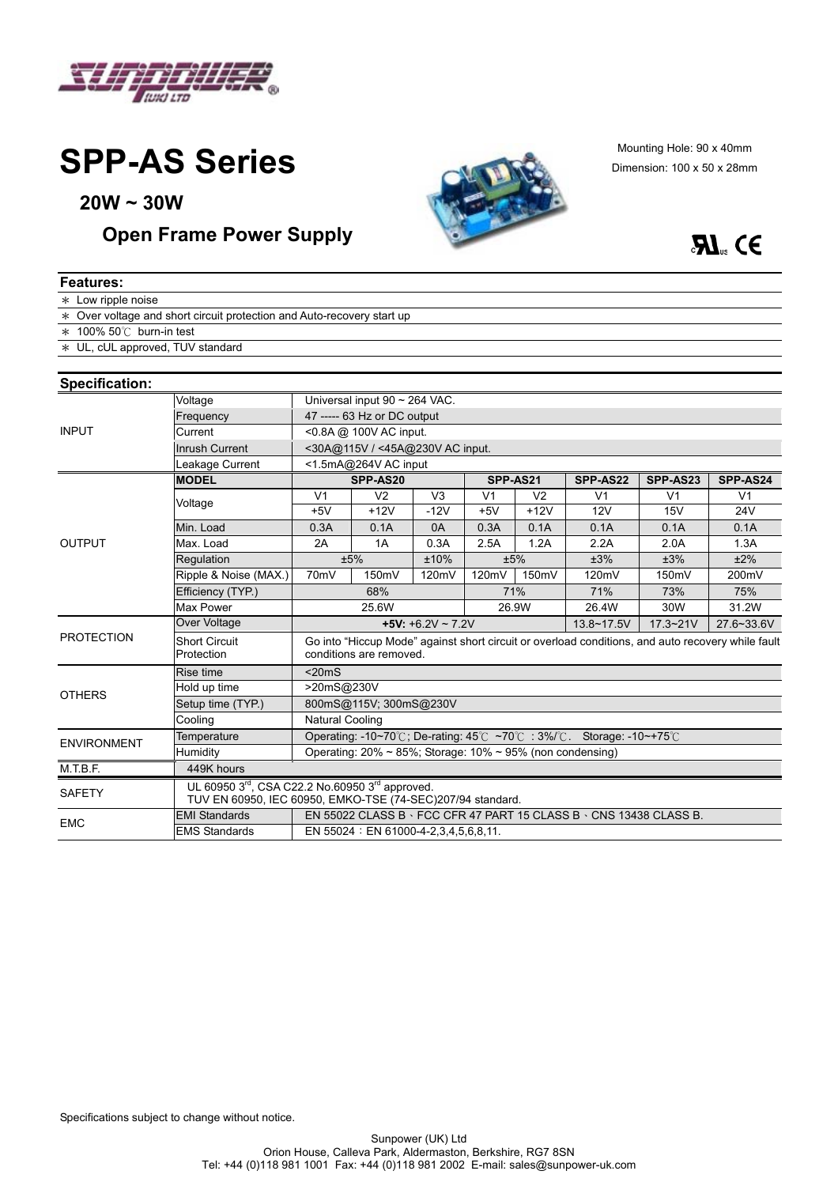

**SPP-AS Series** 

**20W ~ 30W** 

#### *Open Frame Power Supply*



Mounting Hole: 90 x 40mm Dimension: 100 x 50 x 28mm



| <b>Features:</b>                 |                                                                                                                                       |                                                                                                                              |                      |                |                |                |                |                |                |
|----------------------------------|---------------------------------------------------------------------------------------------------------------------------------------|------------------------------------------------------------------------------------------------------------------------------|----------------------|----------------|----------------|----------------|----------------|----------------|----------------|
| * Low ripple noise               |                                                                                                                                       |                                                                                                                              |                      |                |                |                |                |                |                |
|                                  | * Over voltage and short circuit protection and Auto-recovery start up                                                                |                                                                                                                              |                      |                |                |                |                |                |                |
| $*$ 100% 50°C burn-in test       |                                                                                                                                       |                                                                                                                              |                      |                |                |                |                |                |                |
| * UL, cUL approved, TUV standard |                                                                                                                                       |                                                                                                                              |                      |                |                |                |                |                |                |
|                                  |                                                                                                                                       |                                                                                                                              |                      |                |                |                |                |                |                |
| <b>Specification:</b>            |                                                                                                                                       |                                                                                                                              |                      |                |                |                |                |                |                |
| <b>INPUT</b>                     | Voltage                                                                                                                               | Universal input 90 ~ 264 VAC.                                                                                                |                      |                |                |                |                |                |                |
|                                  | Frequency                                                                                                                             | 47 ----- 63 Hz or DC output                                                                                                  |                      |                |                |                |                |                |                |
|                                  | Current                                                                                                                               | <0.8A @ 100V AC input.                                                                                                       |                      |                |                |                |                |                |                |
|                                  | <b>Inrush Current</b>                                                                                                                 | <30A@115V / <45A@230V AC input.                                                                                              |                      |                |                |                |                |                |                |
|                                  | Leakage Current                                                                                                                       | <1.5mA@264V AC input                                                                                                         |                      |                |                |                |                |                |                |
| <b>OUTPUT</b>                    | <b>MODEL</b>                                                                                                                          |                                                                                                                              | SPP-AS20<br>SPP-AS21 |                |                | SPP-AS22       | SPP-AS23       | SPP-AS24       |                |
|                                  | Voltage                                                                                                                               | V <sub>1</sub>                                                                                                               | V <sub>2</sub>       | V <sub>3</sub> | V <sub>1</sub> | V <sub>2</sub> | V <sub>1</sub> | V <sub>1</sub> | V <sub>1</sub> |
|                                  |                                                                                                                                       | $+5V$                                                                                                                        | $+12V$               | $-12V$         | $+5V$          | $+12V$         | 12V            | 15V            | 24V            |
|                                  | Min. Load                                                                                                                             | 0.3A                                                                                                                         | 0.1A                 | 0A             | 0.3A           | 0.1A           | 0.1A           | 0.1A           | 0.1A           |
|                                  | Max. Load                                                                                                                             | 2A                                                                                                                           | 1A                   | 0.3A           | 2.5A           | 1.2A           | 2.2A           | 2.0A           | 1.3A           |
|                                  | Regulation                                                                                                                            | ±5%<br>±10%                                                                                                                  |                      |                |                | ±5%            | ±3%            | ±3%            | ±2%            |
|                                  | Ripple & Noise (MAX.)                                                                                                                 | 70mV                                                                                                                         | 150mV                | 120mV          | 120mV          | 150mV          | 120mV          | 150mV          | 200mV          |
|                                  | Efficiency (TYP.)                                                                                                                     | 68%                                                                                                                          |                      |                | 71%            |                | 71%            | 73%            | 75%            |
|                                  | Max Power                                                                                                                             | 25.6W<br>26.9W                                                                                                               |                      |                |                |                | 26.4W          | 30W            | 31.2W          |
| <b>PROTECTION</b>                | Over Voltage                                                                                                                          | $+5V: +6.2V \sim 7.2V$                                                                                                       |                      |                |                |                | 13.8~17.5V     | $17.3 - 21V$   | 27.6~33.6V     |
|                                  | <b>Short Circuit</b><br>Protection                                                                                                    | Go into "Hiccup Mode" against short circuit or overload conditions, and auto recovery while fault<br>conditions are removed. |                      |                |                |                |                |                |                |
| <b>OTHERS</b>                    | Rise time                                                                                                                             | $<$ 20 $m$ S                                                                                                                 |                      |                |                |                |                |                |                |
|                                  | Hold up time                                                                                                                          | >20mS@230V                                                                                                                   |                      |                |                |                |                |                |                |
|                                  | Setup time (TYP.)                                                                                                                     | 800mS@115V; 300mS@230V                                                                                                       |                      |                |                |                |                |                |                |
|                                  | Cooling                                                                                                                               | <b>Natural Cooling</b>                                                                                                       |                      |                |                |                |                |                |                |
| <b>ENVIRONMENT</b>               | Temperature                                                                                                                           | Operating: -10~70℃; De-rating: 45℃ ~70℃ : 3%/℃. Storage: -10~+75℃                                                            |                      |                |                |                |                |                |                |
|                                  | Humidity                                                                                                                              | Operating: $20\% \sim 85\%$ ; Storage: $10\% \sim 95\%$ (non condensing)                                                     |                      |                |                |                |                |                |                |
| M.T.B.F.                         | 449K hours                                                                                                                            |                                                                                                                              |                      |                |                |                |                |                |                |
| <b>SAFETY</b>                    | UL 60950 3 <sup>rd</sup> , CSA C22.2 No.60950 3 <sup>rd</sup> approved.<br>TUV EN 60950, IEC 60950, EMKO-TSE (74-SEC)207/94 standard. |                                                                                                                              |                      |                |                |                |                |                |                |
| <b>EMC</b>                       | <b>EMI Standards</b>                                                                                                                  | EN 55022 CLASS B · FCC CFR 47 PART 15 CLASS B · CNS 13438 CLASS B.                                                           |                      |                |                |                |                |                |                |
|                                  | <b>EMS Standards</b>                                                                                                                  | EN 55024 : EN 61000-4-2,3,4,5,6,8,11.                                                                                        |                      |                |                |                |                |                |                |
|                                  |                                                                                                                                       |                                                                                                                              |                      |                |                |                |                |                |                |